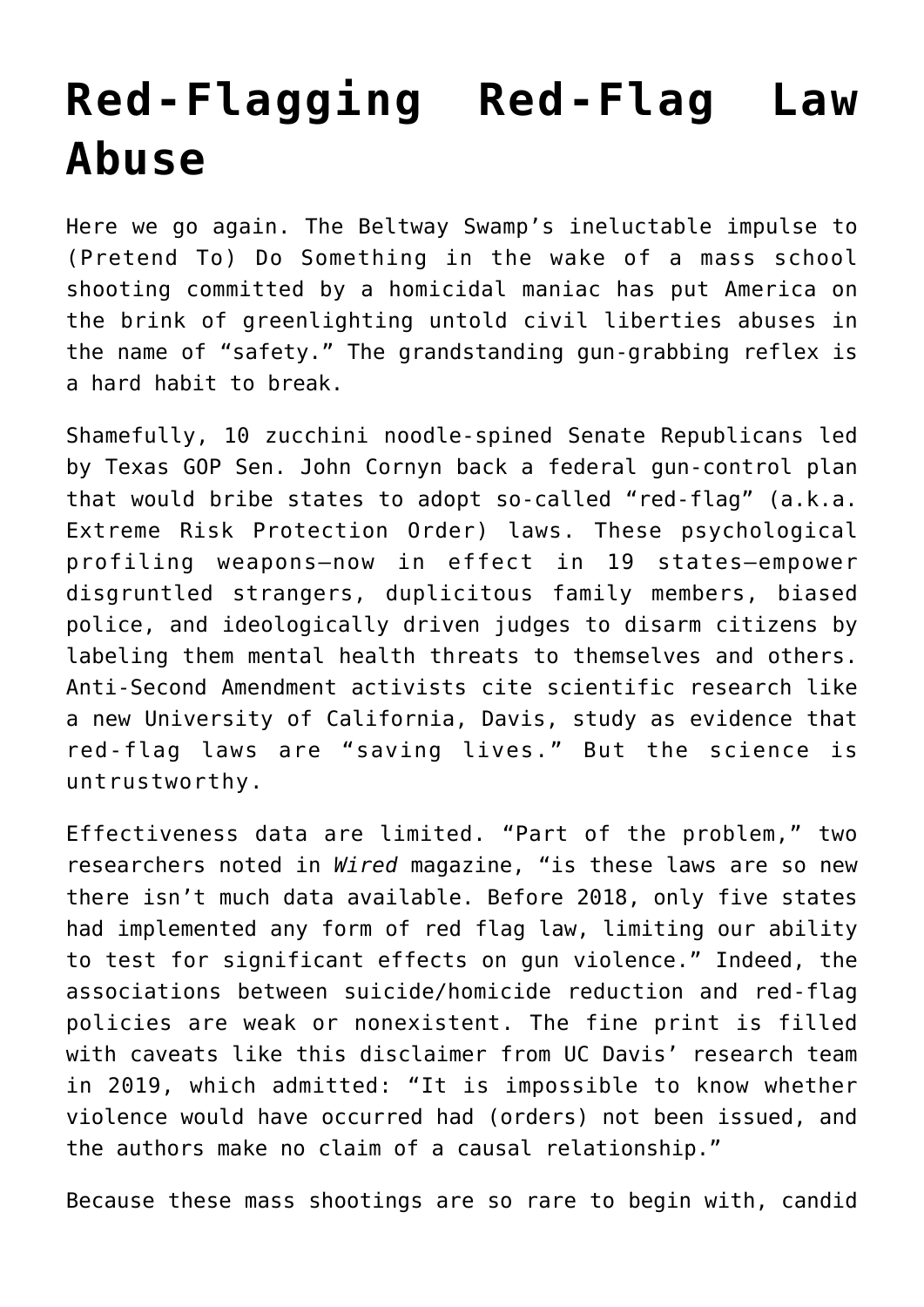## **[Red-Flagging Red-Flag Law](https://intellectualtakeout.org/2022/06/red-flagging-red-flag-law-abuse/) [Abuse](https://intellectualtakeout.org/2022/06/red-flagging-red-flag-law-abuse/)**

Here we go again. The Beltway Swamp's ineluctable impulse to (Pretend To) Do Something in the wake of a mass school shooting committed by a homicidal maniac has put America on the brink of greenlighting untold civil liberties abuses in the name of "safety." The grandstanding gun-grabbing reflex is a hard habit to break.

Shamefully, 10 zucchini noodle-spined Senate Republicans led by Texas GOP Sen. John Cornyn back a federal gun-control plan that would bribe states to adopt so-called "red-flag" (a.k.a. Extreme Risk Protection Order) laws. These psychological profiling weapons—now in effect in 19 states—empower disgruntled strangers, duplicitous family members, biased police, and ideologically driven judges to disarm citizens by labeling them mental health threats to themselves and others. Anti-Second Amendment activists cite scientific research like a new University of California, Davis, study as evidence that red-flag laws are "saving lives." But the science is untrustworthy.

Effectiveness data are limited. "Part of the problem," two researchers noted in *Wired* magazine, "is these laws are so new there isn't much data available. Before 2018, only five states had implemented any form of red flag law, limiting our ability to test for significant effects on gun violence." Indeed, the associations between suicide/homicide reduction and red-flag policies are weak or nonexistent. The fine print is filled with caveats like this disclaimer from UC Davis' research team in 2019, which admitted: "It is impossible to know whether violence would have occurred had (orders) not been issued, and the authors make no claim of a causal relationship."

Because these mass shootings are so rare to begin with, candid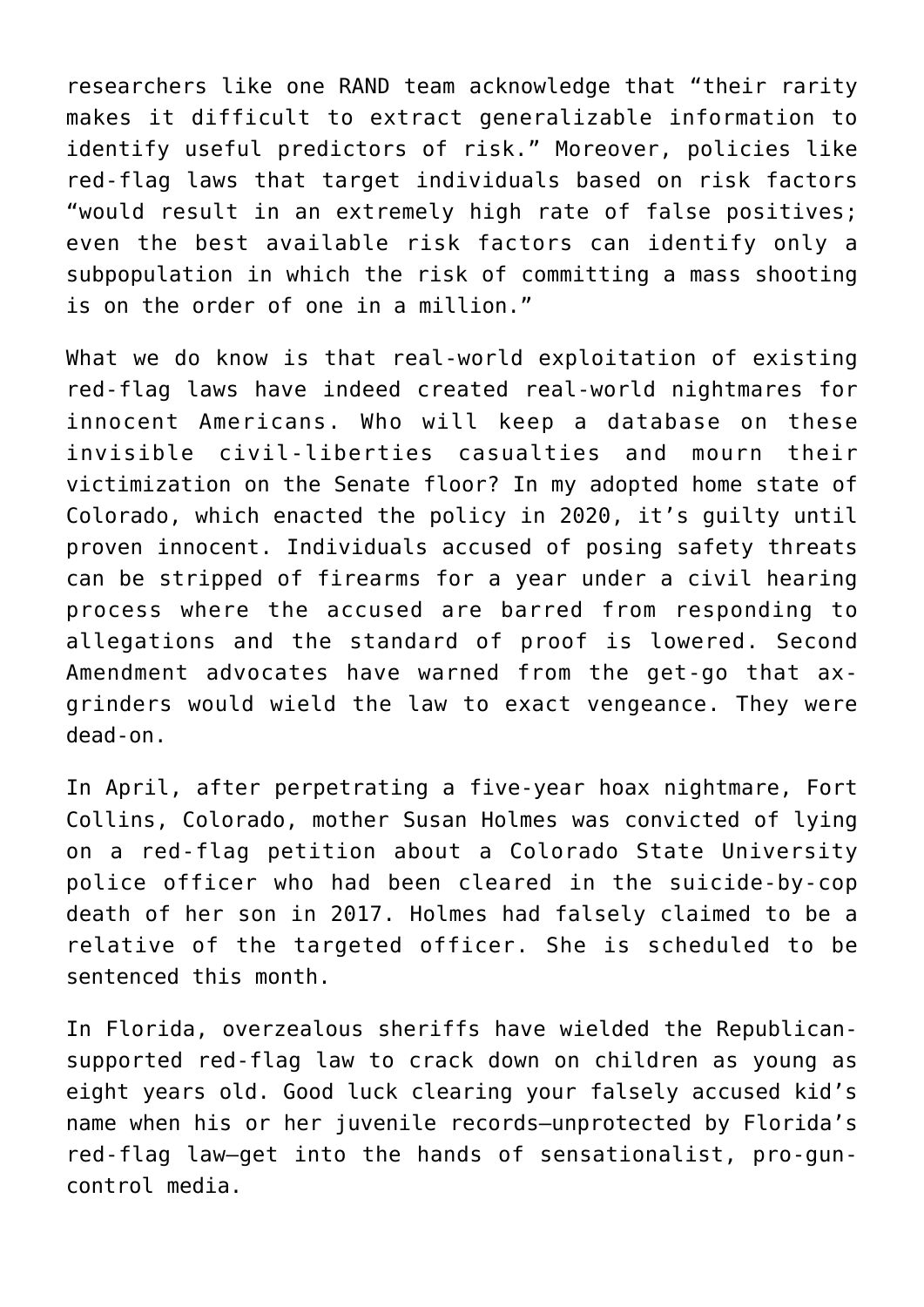researchers like one RAND team acknowledge that "their rarity makes it difficult to extract generalizable information to identify useful predictors of risk." Moreover, policies like red-flag laws that target individuals based on risk factors "would result in an extremely high rate of false positives; even the best available risk factors can identify only a subpopulation in which the risk of committing a mass shooting is on the order of one in a million."

What we do know is that real-world exploitation of existing red-flag laws have indeed created real-world nightmares for innocent Americans. Who will keep a database on these invisible civil-liberties casualties and mourn their victimization on the Senate floor? In my adopted home state of Colorado, which enacted the policy in 2020, it's guilty until proven innocent. Individuals accused of posing safety threats can be stripped of firearms for a year under a civil hearing process where the accused are barred from responding to allegations and the standard of proof is lowered. Second Amendment advocates have warned from the get-go that axgrinders would wield the law to exact vengeance. They were dead-on.

In April, after perpetrating a five-year hoax nightmare, Fort Collins, Colorado, mother Susan Holmes was convicted of lying on a red-flag petition about a Colorado State University police officer who had been cleared in the suicide-by-cop death of her son in 2017. Holmes had falsely claimed to be a relative of the targeted officer. She is scheduled to be sentenced this month.

In Florida, overzealous sheriffs have wielded the Republicansupported red-flag law to crack down on children as young as eight years old. Good luck clearing your falsely accused kid's name when his or her juvenile records—unprotected by Florida's red-flag law—get into the hands of sensationalist, pro-guncontrol media.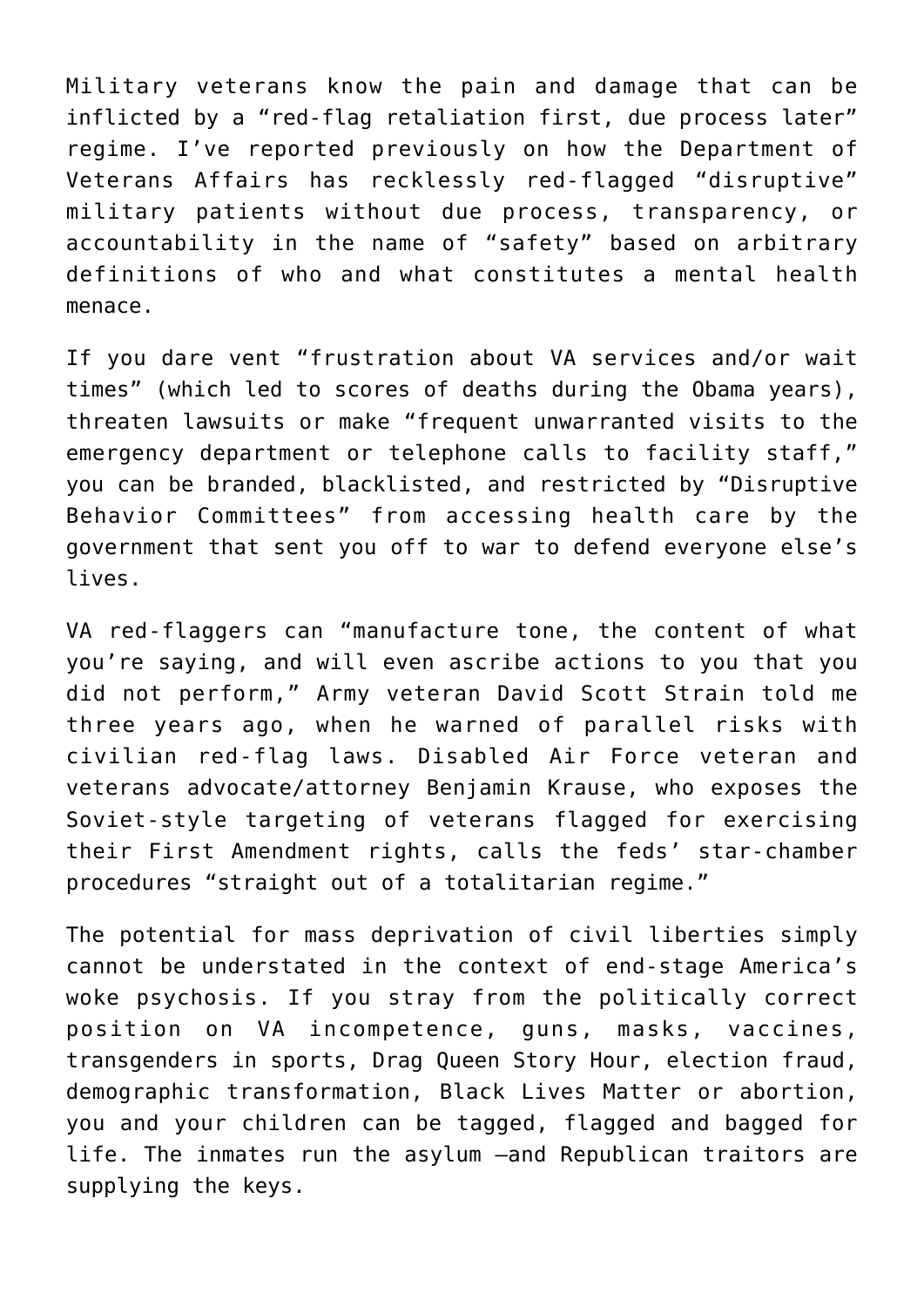Military veterans know the pain and damage that can be inflicted by a "red-flag retaliation first, due process later" regime. I've reported previously on how the Department of Veterans Affairs has recklessly red-flagged "disruptive" military patients without due process, transparency, or accountability in the name of "safety" based on arbitrary definitions of who and what constitutes a mental health menace.

If you dare vent "frustration about VA services and/or wait times" (which led to scores of deaths during the Obama years), threaten lawsuits or make "frequent unwarranted visits to the emergency department or telephone calls to facility staff," you can be branded, blacklisted, and restricted by "Disruptive Behavior Committees" from accessing health care by the government that sent you off to war to defend everyone else's lives.

VA red-flaggers can "manufacture tone, the content of what you're saying, and will even ascribe actions to you that you did not perform," Army veteran David Scott Strain told me three years ago, when he warned of parallel risks with civilian red-flag laws. Disabled Air Force veteran and veterans advocate/attorney Benjamin Krause, who exposes the Soviet-style targeting of veterans flagged for exercising their First Amendment rights, calls the feds' star-chamber procedures "straight out of a totalitarian regime."

The potential for mass deprivation of civil liberties simply cannot be understated in the context of end-stage America's woke psychosis. If you stray from the politically correct position on VA incompetence, guns, masks, vaccines, transgenders in sports, Drag Queen Story Hour, election fraud, demographic transformation, Black Lives Matter or abortion, you and your children can be tagged, flagged and bagged for life. The inmates run the asylum —and Republican traitors are supplying the keys.